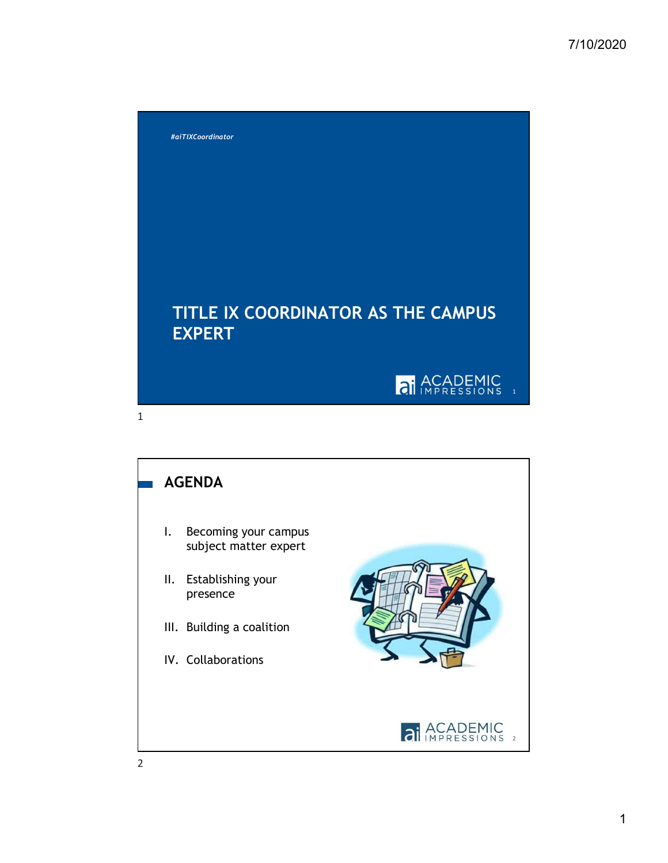

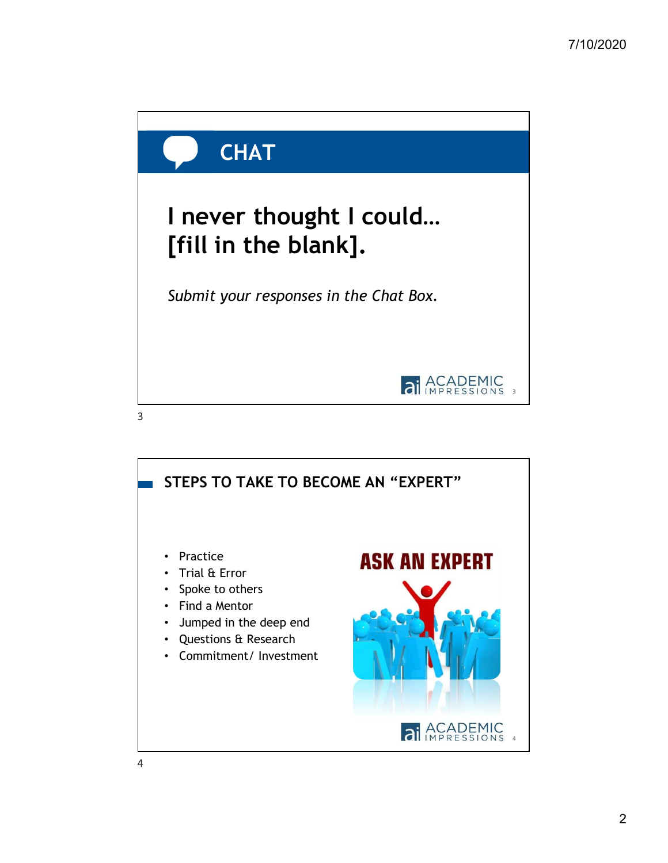

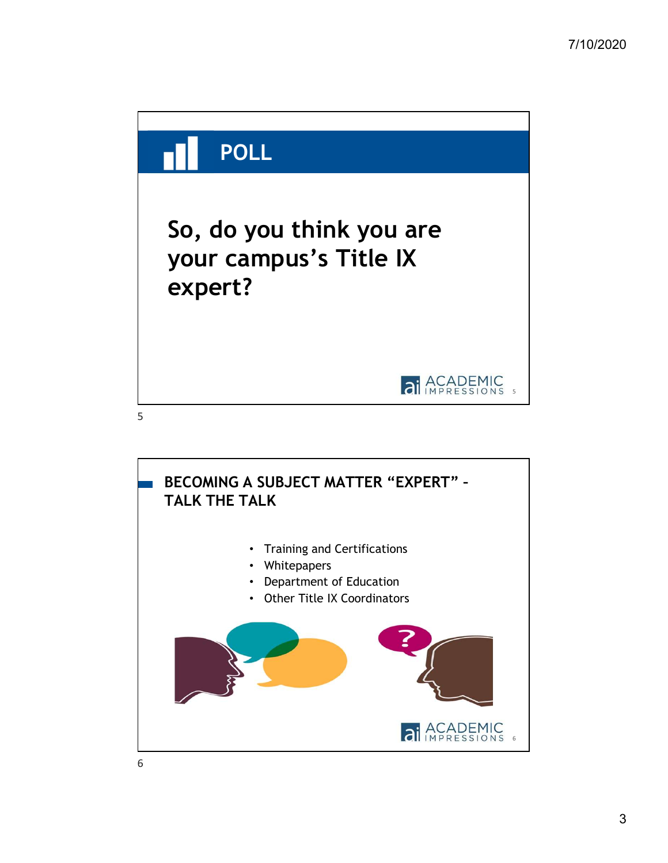

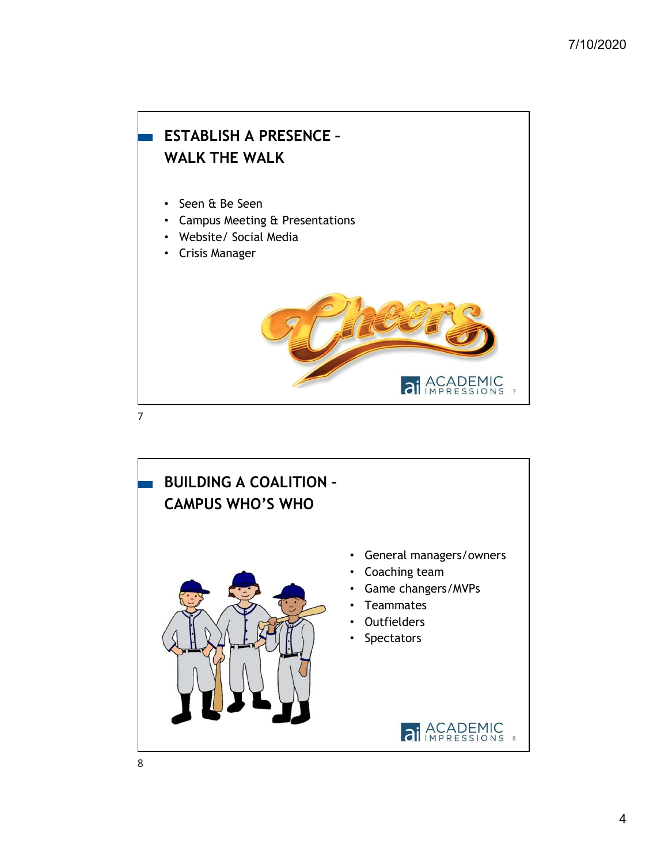## 7 • Seen & Be Seen • Campus Meeting & Presentations • Website/ Social Media • Crisis Manager ESTABLISH A PRESENCE – WALK THE WALK 7

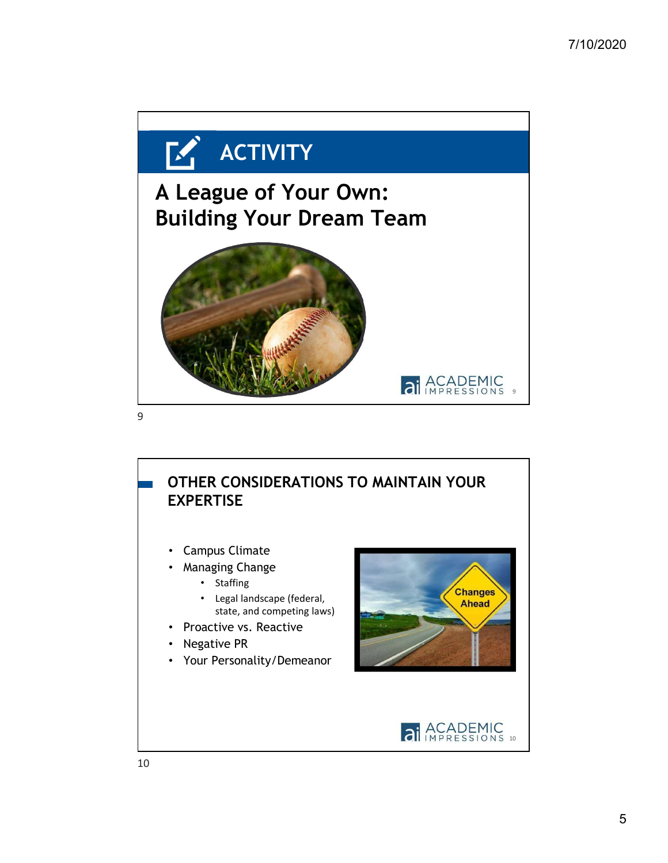

## OTHER CONSIDERATIONS TO MAINTAIN YOUR EXPERTISE

- Campus Climate
- Managing Change
	- Staffing
	- Legal landscape (federal, state, and competing laws)
- Proactive vs. Reactive
- Negative PR
- Your Personality/Demeanor



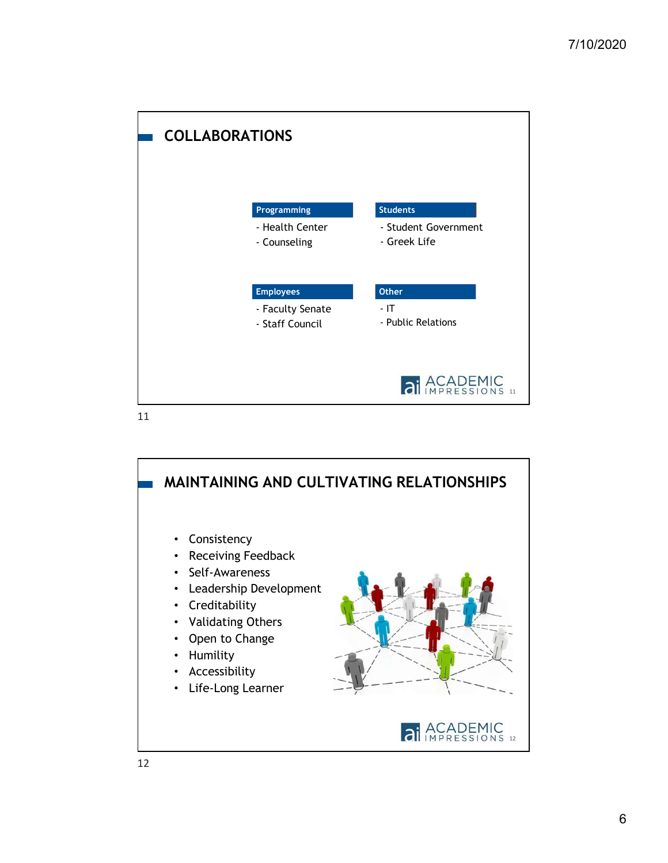

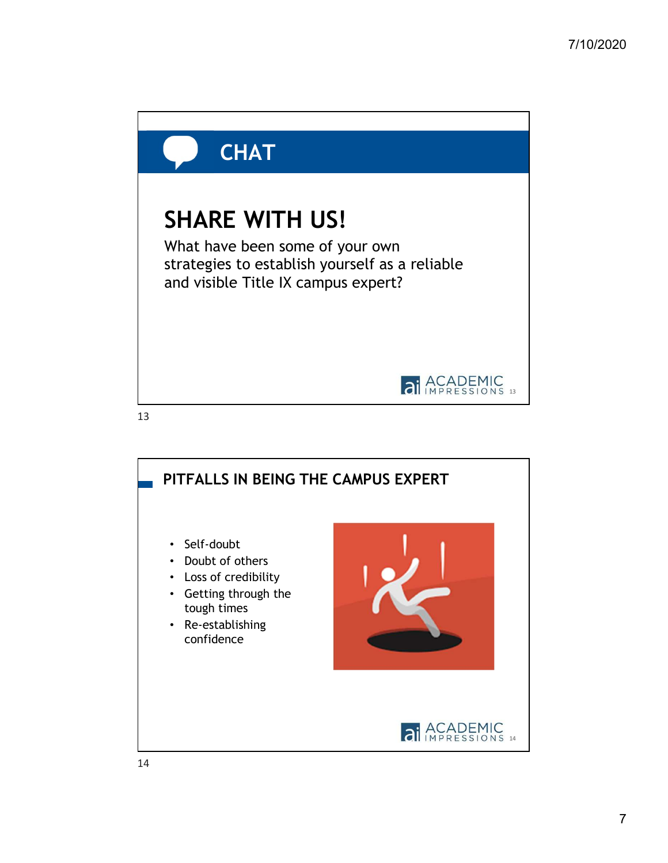